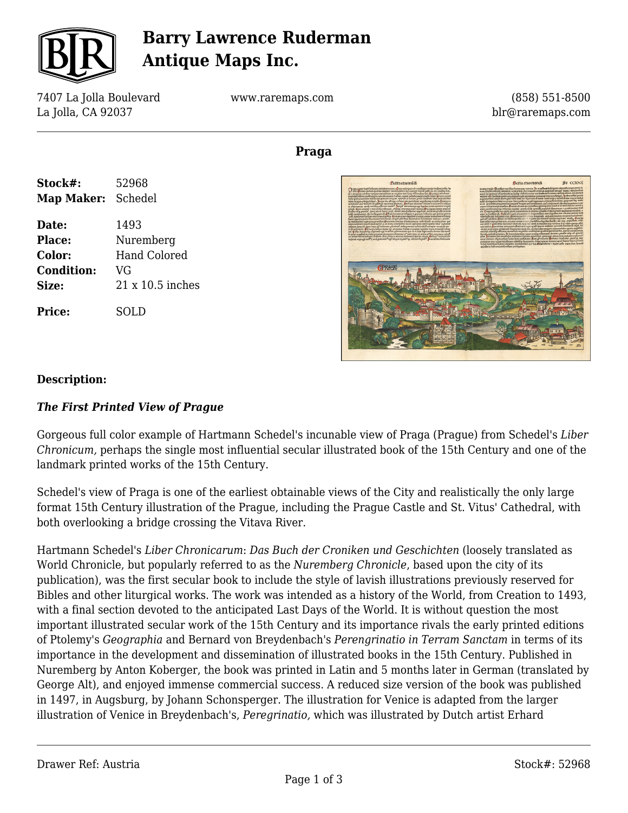

## **Barry Lawrence Ruderman Antique Maps Inc.**

7407 La Jolla Boulevard La Jolla, CA 92037

www.raremaps.com

(858) 551-8500 blr@raremaps.com

## **Praga**



# **Bettaetaamüd** Kerra etas mund Fo CCXXX

#### **Description:**

#### *The First Printed View of Prague*

Gorgeous full color example of Hartmann Schedel's incunable view of Praga (Prague) from Schedel's *Liber Chronicum,* perhaps the single most influential secular illustrated book of the 15th Century and one of the landmark printed works of the 15th Century.

Schedel's view of Praga is one of the earliest obtainable views of the City and realistically the only large format 15th Century illustration of the Prague, including the Prague Castle and St. Vitus' Cathedral, with both overlooking a bridge crossing the Vitava River.

Hartmann Schedel's *Liber Chronicarum*: *Das Buch der Croniken und Geschichten* (loosely translated as World Chronicle, but popularly referred to as the *Nuremberg Chronicle*, based upon the city of its publication), was the first secular book to include the style of lavish illustrations previously reserved for Bibles and other liturgical works. The work was intended as a history of the World, from Creation to 1493, with a final section devoted to the anticipated Last Days of the World. It is without question the most important illustrated secular work of the 15th Century and its importance rivals the early printed editions of Ptolemy's *Geographia* and Bernard von Breydenbach's *Perengrinatio in Terram Sanctam* in terms of its importance in the development and dissemination of illustrated books in the 15th Century. Published in Nuremberg by Anton Koberger, the book was printed in Latin and 5 months later in German (translated by George Alt), and enjoyed immense commercial success. A reduced size version of the book was published in 1497, in Augsburg, by Johann Schonsperger. The illustration for Venice is adapted from the larger illustration of Venice in Breydenbach's, *Peregrinatio,* which was illustrated by Dutch artist Erhard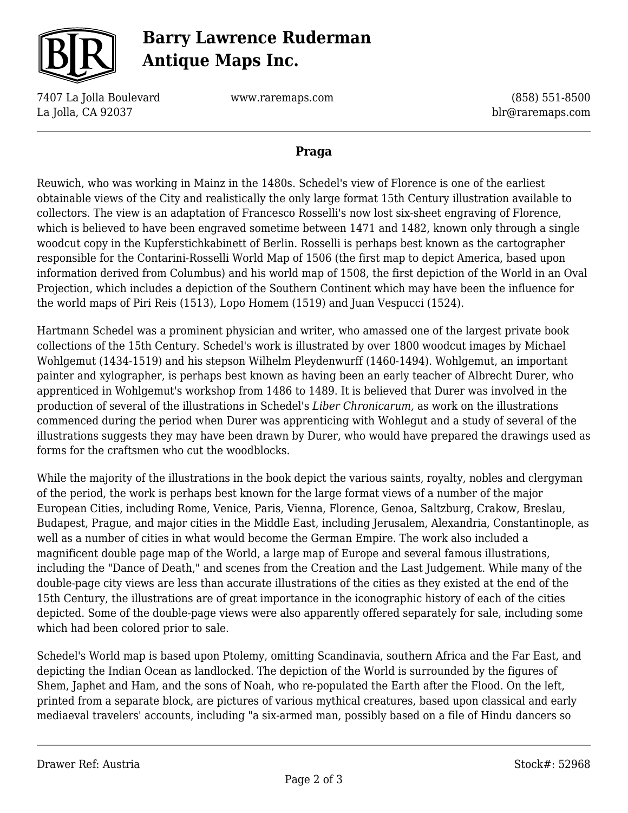

## **Barry Lawrence Ruderman Antique Maps Inc.**

7407 La Jolla Boulevard La Jolla, CA 92037

www.raremaps.com

(858) 551-8500 blr@raremaps.com

## **Praga**

Reuwich, who was working in Mainz in the 1480s. Schedel's view of Florence is one of the earliest obtainable views of the City and realistically the only large format 15th Century illustration available to collectors. The view is an adaptation of Francesco Rosselli's now lost six-sheet engraving of Florence, which is believed to have been engraved sometime between 1471 and 1482, known only through a single woodcut copy in the Kupferstichkabinett of Berlin. Rosselli is perhaps best known as the cartographer responsible for the Contarini-Rosselli World Map of 1506 (the first map to depict America, based upon information derived from Columbus) and his world map of 1508, the first depiction of the World in an Oval Projection, which includes a depiction of the Southern Continent which may have been the influence for the world maps of Piri Reis (1513), Lopo Homem (1519) and Juan Vespucci (1524).

Hartmann Schedel was a prominent physician and writer, who amassed one of the largest private book collections of the 15th Century. Schedel's work is illustrated by over 1800 woodcut images by Michael Wohlgemut (1434-1519) and his stepson Wilhelm Pleydenwurff (1460-1494). Wohlgemut, an important painter and xylographer, is perhaps best known as having been an early teacher of Albrecht Durer, who apprenticed in Wohlgemut's workshop from 1486 to 1489. It is believed that Durer was involved in the production of several of the illustrations in Schedel's *Liber Chronicarum,* as work on the illustrations commenced during the period when Durer was apprenticing with Wohlegut and a study of several of the illustrations suggests they may have been drawn by Durer, who would have prepared the drawings used as forms for the craftsmen who cut the woodblocks.

While the majority of the illustrations in the book depict the various saints, royalty, nobles and clergyman of the period, the work is perhaps best known for the large format views of a number of the major European Cities, including Rome, Venice, Paris, Vienna, Florence, Genoa, Saltzburg, Crakow, Breslau, Budapest, Prague, and major cities in the Middle East, including Jerusalem, Alexandria, Constantinople, as well as a number of cities in what would become the German Empire. The work also included a magnificent double page map of the World, a large map of Europe and several famous illustrations, including the "Dance of Death," and scenes from the Creation and the Last Judgement. While many of the double-page city views are less than accurate illustrations of the cities as they existed at the end of the 15th Century, the illustrations are of great importance in the iconographic history of each of the cities depicted. Some of the double-page views were also apparently offered separately for sale, including some which had been colored prior to sale.

Schedel's World map is based upon Ptolemy, omitting Scandinavia, southern Africa and the Far East, and depicting the Indian Ocean as landlocked. The depiction of the World is surrounded by the figures of Shem, Japhet and Ham, and the sons of Noah, who re-populated the Earth after the Flood. On the left, printed from a separate block, are pictures of various mythical creatures, based upon classical and early mediaeval travelers' accounts, including "a six-armed man, possibly based on a file of Hindu dancers so